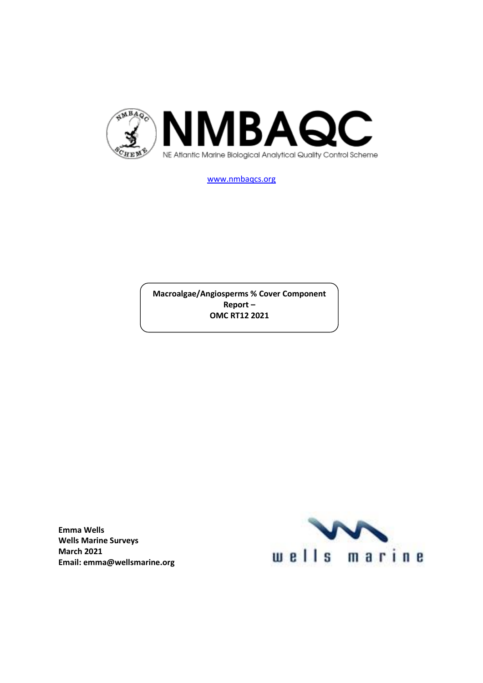

[www.nmbaqcs.org](http://www.nmbaqcs.org/)

**Macroalgae/Angiosperms % Cover Component Report – OMC RT12 2021**

**Emma Wells Wells Marine Surveys March 2021 Email: emma@wellsmarine.org**

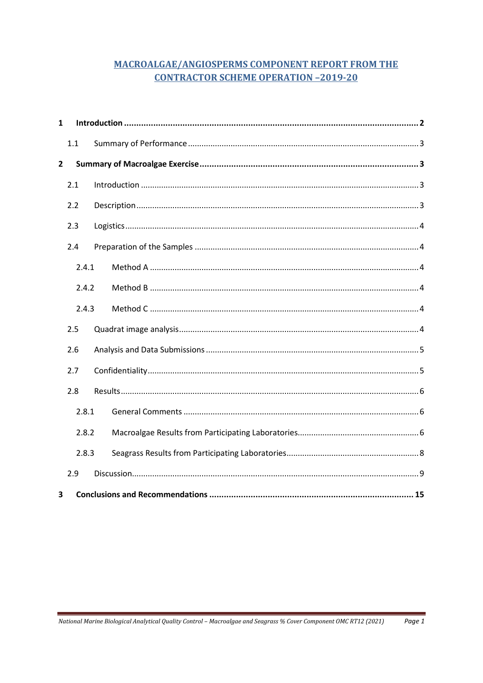# **MACROALGAE/ANGIOSPERMS COMPONENT REPORT FROM THE CONTRACTOR SCHEME OPERATION -2019-20**

| $\mathbf{1}$   |       |  |  |  |
|----------------|-------|--|--|--|
|                | 1.1   |  |  |  |
| $\overline{2}$ |       |  |  |  |
|                | 2.1   |  |  |  |
|                | 2.2   |  |  |  |
|                | 2.3   |  |  |  |
|                | 2.4   |  |  |  |
|                | 2.4.1 |  |  |  |
|                | 2.4.2 |  |  |  |
|                | 2.4.3 |  |  |  |
|                | 2.5   |  |  |  |
|                | 2.6   |  |  |  |
|                | 2.7   |  |  |  |
|                | 2.8   |  |  |  |
| 2.8.1          |       |  |  |  |
|                | 2.8.2 |  |  |  |
| 2.8.3          |       |  |  |  |
|                | 2.9   |  |  |  |
| 3              |       |  |  |  |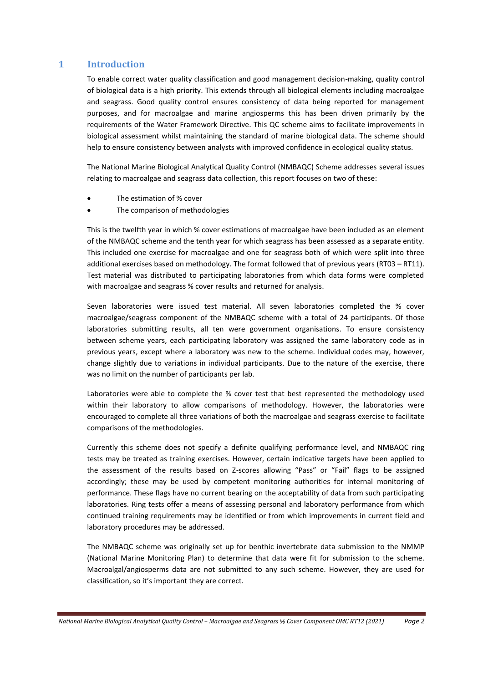### <span id="page-2-0"></span>**1 Introduction**

To enable correct water quality classification and good management decision-making, quality control of biological data is a high priority. This extends through all biological elements including macroalgae and seagrass. Good quality control ensures consistency of data being reported for management purposes, and for macroalgae and marine angiosperms this has been driven primarily by the requirements of the Water Framework Directive. This QC scheme aims to facilitate improvements in biological assessment whilst maintaining the standard of marine biological data. The scheme should help to ensure consistency between analysts with improved confidence in ecological quality status.

The National Marine Biological Analytical Quality Control (NMBAQC) Scheme addresses several issues relating to macroalgae and seagrass data collection, this report focuses on two of these:

- The estimation of % cover
- The comparison of methodologies

This is the twelfth year in which % cover estimations of macroalgae have been included as an element of the NMBAQC scheme and the tenth year for which seagrass has been assessed as a separate entity. This included one exercise for macroalgae and one for seagrass both of which were split into three additional exercises based on methodology. The format followed that of previous years (RT03 – RT11). Test material was distributed to participating laboratories from which data forms were completed with macroalgae and seagrass % cover results and returned for analysis.

Seven laboratories were issued test material. All seven laboratories completed the % cover macroalgae/seagrass component of the NMBAQC scheme with a total of 24 participants. Of those laboratories submitting results, all ten were government organisations. To ensure consistency between scheme years, each participating laboratory was assigned the same laboratory code as in previous years, except where a laboratory was new to the scheme. Individual codes may, however, change slightly due to variations in individual participants. Due to the nature of the exercise, there was no limit on the number of participants per lab.

Laboratories were able to complete the % cover test that best represented the methodology used within their laboratory to allow comparisons of methodology. However, the laboratories were encouraged to complete all three variations of both the macroalgae and seagrass exercise to facilitate comparisons of the methodologies.

Currently this scheme does not specify a definite qualifying performance level, and NMBAQC ring tests may be treated as training exercises. However, certain indicative targets have been applied to the assessment of the results based on Z-scores allowing "Pass" or "Fail" flags to be assigned accordingly; these may be used by competent monitoring authorities for internal monitoring of performance. These flags have no current bearing on the acceptability of data from such participating laboratories. Ring tests offer a means of assessing personal and laboratory performance from which continued training requirements may be identified or from which improvements in current field and laboratory procedures may be addressed.

The NMBAQC scheme was originally set up for benthic invertebrate data submission to the NMMP (National Marine Monitoring Plan) to determine that data were fit for submission to the scheme. Macroalgal/angiosperms data are not submitted to any such scheme. However, they are used for classification, so it's important they are correct.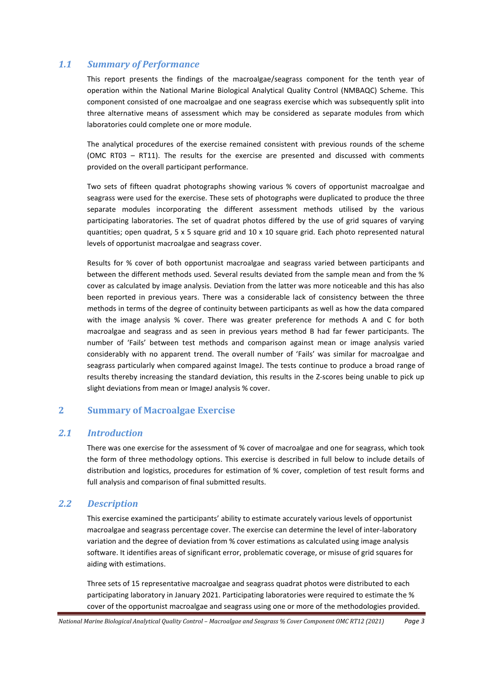## <span id="page-3-0"></span>*1.1 Summary of Performance*

This report presents the findings of the macroalgae/seagrass component for the tenth year of operation within the National Marine Biological Analytical Quality Control (NMBAQC) Scheme. This component consisted of one macroalgae and one seagrass exercise which was subsequently split into three alternative means of assessment which may be considered as separate modules from which laboratories could complete one or more module.

The analytical procedures of the exercise remained consistent with previous rounds of the scheme (OMC RT03 – RT11). The results for the exercise are presented and discussed with comments provided on the overall participant performance.

Two sets of fifteen quadrat photographs showing various % covers of opportunist macroalgae and seagrass were used for the exercise. These sets of photographs were duplicated to produce the three separate modules incorporating the different assessment methods utilised by the various participating laboratories. The set of quadrat photos differed by the use of grid squares of varying quantities; open quadrat, 5 x 5 square grid and 10 x 10 square grid. Each photo represented natural levels of opportunist macroalgae and seagrass cover.

Results for % cover of both opportunist macroalgae and seagrass varied between participants and between the different methods used. Several results deviated from the sample mean and from the % cover as calculated by image analysis. Deviation from the latter was more noticeable and this has also been reported in previous years. There was a considerable lack of consistency between the three methods in terms of the degree of continuity between participants as well as how the data compared with the image analysis % cover. There was greater preference for methods A and C for both macroalgae and seagrass and as seen in previous years method B had far fewer participants. The number of 'Fails' between test methods and comparison against mean or image analysis varied considerably with no apparent trend. The overall number of 'Fails' was similar for macroalgae and seagrass particularly when compared against ImageJ. The tests continue to produce a broad range of results thereby increasing the standard deviation, this results in the Z-scores being unable to pick up slight deviations from mean or ImageJ analysis % cover.

### <span id="page-3-1"></span>**2 Summary of Macroalgae Exercise**

### <span id="page-3-2"></span>*2.1 Introduction*

There was one exercise for the assessment of % cover of macroalgae and one for seagrass, which took the form of three methodology options. This exercise is described in full below to include details of distribution and logistics, procedures for estimation of % cover, completion of test result forms and full analysis and comparison of final submitted results.

### <span id="page-3-3"></span>*2.2 Description*

This exercise examined the participants' ability to estimate accurately various levels of opportunist macroalgae and seagrass percentage cover. The exercise can determine the level of inter-laboratory variation and the degree of deviation from % cover estimations as calculated using image analysis software. It identifies areas of significant error, problematic coverage, or misuse of grid squares for aiding with estimations.

Three sets of 15 representative macroalgae and seagrass quadrat photos were distributed to each participating laboratory in January 2021. Participating laboratories were required to estimate the % cover of the opportunist macroalgae and seagrass using one or more of the methodologies provided.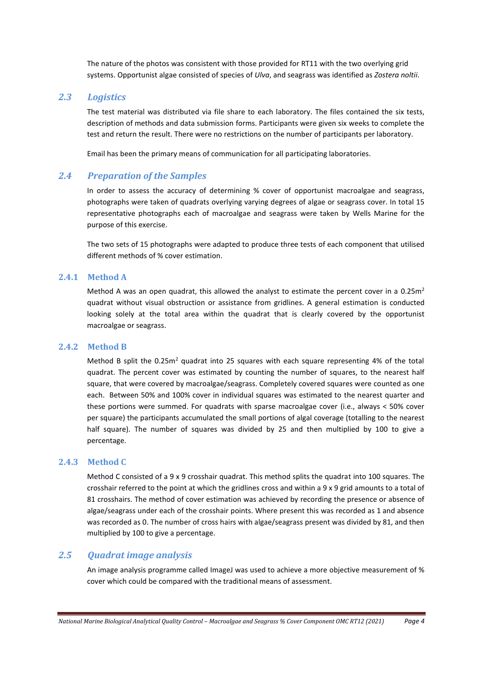The nature of the photos was consistent with those provided for RT11 with the two overlying grid systems. Opportunist algae consisted of species of *Ulva*, and seagrass was identified as *Zostera noltii*.

### <span id="page-4-0"></span>*2.3 Logistics*

The test material was distributed via file share to each laboratory. The files contained the six tests, description of methods and data submission forms. Participants were given six weeks to complete the test and return the result. There were no restrictions on the number of participants per laboratory.

Email has been the primary means of communication for all participating laboratories.

### <span id="page-4-1"></span>*2.4 Preparation of the Samples*

In order to assess the accuracy of determining % cover of opportunist macroalgae and seagrass, photographs were taken of quadrats overlying varying degrees of algae or seagrass cover. In total 15 representative photographs each of macroalgae and seagrass were taken by Wells Marine for the purpose of this exercise.

The two sets of 15 photographs were adapted to produce three tests of each component that utilised different methods of % cover estimation.

#### <span id="page-4-2"></span>**2.4.1 Method A**

Method A was an open quadrat, this allowed the analyst to estimate the percent cover in a 0.25 $m<sup>2</sup>$ quadrat without visual obstruction or assistance from gridlines. A general estimation is conducted looking solely at the total area within the quadrat that is clearly covered by the opportunist macroalgae or seagrass.

#### <span id="page-4-3"></span>**2.4.2 Method B**

Method B split the  $0.25m^2$  quadrat into 25 squares with each square representing 4% of the total quadrat. The percent cover was estimated by counting the number of squares, to the nearest half square, that were covered by macroalgae/seagrass. Completely covered squares were counted as one each. Between 50% and 100% cover in individual squares was estimated to the nearest quarter and these portions were summed. For quadrats with sparse macroalgae cover (i.e., always < 50% cover per square) the participants accumulated the small portions of algal coverage (totalling to the nearest half square). The number of squares was divided by 25 and then multiplied by 100 to give a percentage.

#### <span id="page-4-4"></span>**2.4.3 Method C**

Method C consisted of a 9 x 9 crosshair quadrat. This method splits the quadrat into 100 squares. The crosshair referred to the point at which the gridlines cross and within a 9 x 9 grid amounts to a total of 81 crosshairs. The method of cover estimation was achieved by recording the presence or absence of algae/seagrass under each of the crosshair points. Where present this was recorded as 1 and absence was recorded as 0. The number of cross hairs with algae/seagrass present was divided by 81, and then multiplied by 100 to give a percentage.

### <span id="page-4-5"></span>*2.5 Quadrat image analysis*

An image analysis programme called ImageJ was used to achieve a more objective measurement of % cover which could be compared with the traditional means of assessment.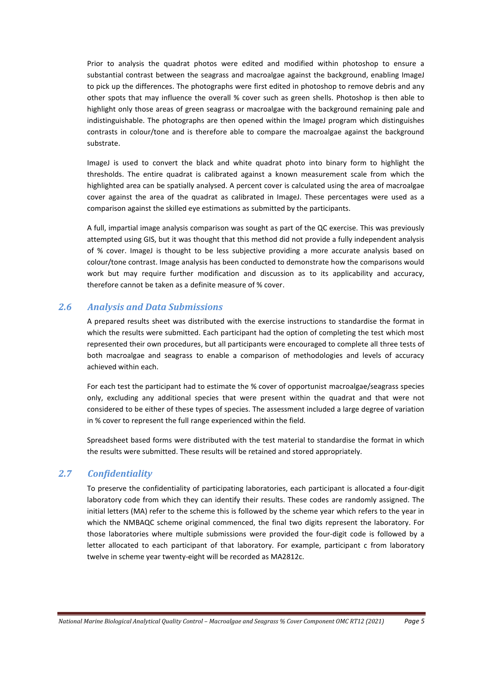Prior to analysis the quadrat photos were edited and modified within photoshop to ensure a substantial contrast between the seagrass and macroalgae against the background, enabling ImageJ to pick up the differences. The photographs were first edited in photoshop to remove debris and any other spots that may influence the overall % cover such as green shells. Photoshop is then able to highlight only those areas of green seagrass or macroalgae with the background remaining pale and indistinguishable. The photographs are then opened within the ImageJ program which distinguishes contrasts in colour/tone and is therefore able to compare the macroalgae against the background substrate.

ImageJ is used to convert the black and white quadrat photo into binary form to highlight the thresholds. The entire quadrat is calibrated against a known measurement scale from which the highlighted area can be spatially analysed. A percent cover is calculated using the area of macroalgae cover against the area of the quadrat as calibrated in ImageJ. These percentages were used as a comparison against the skilled eye estimations as submitted by the participants.

A full, impartial image analysis comparison was sought as part of the QC exercise. This was previously attempted using GIS, but it was thought that this method did not provide a fully independent analysis of % cover. ImageJ is thought to be less subjective providing a more accurate analysis based on colour/tone contrast. Image analysis has been conducted to demonstrate how the comparisons would work but may require further modification and discussion as to its applicability and accuracy, therefore cannot be taken as a definite measure of % cover.

# <span id="page-5-0"></span>*2.6 Analysis and Data Submissions*

A prepared results sheet was distributed with the exercise instructions to standardise the format in which the results were submitted. Each participant had the option of completing the test which most represented their own procedures, but all participants were encouraged to complete all three tests of both macroalgae and seagrass to enable a comparison of methodologies and levels of accuracy achieved within each.

For each test the participant had to estimate the % cover of opportunist macroalgae/seagrass species only, excluding any additional species that were present within the quadrat and that were not considered to be either of these types of species. The assessment included a large degree of variation in % cover to represent the full range experienced within the field.

Spreadsheet based forms were distributed with the test material to standardise the format in which the results were submitted. These results will be retained and stored appropriately.

### <span id="page-5-1"></span>*2.7 Confidentiality*

To preserve the confidentiality of participating laboratories, each participant is allocated a four-digit laboratory code from which they can identify their results. These codes are randomly assigned. The initial letters (MA) refer to the scheme this is followed by the scheme year which refers to the year in which the NMBAQC scheme original commenced, the final two digits represent the laboratory. For those laboratories where multiple submissions were provided the four-digit code is followed by a letter allocated to each participant of that laboratory. For example, participant c from laboratory twelve in scheme year twenty-eight will be recorded as MA2812c.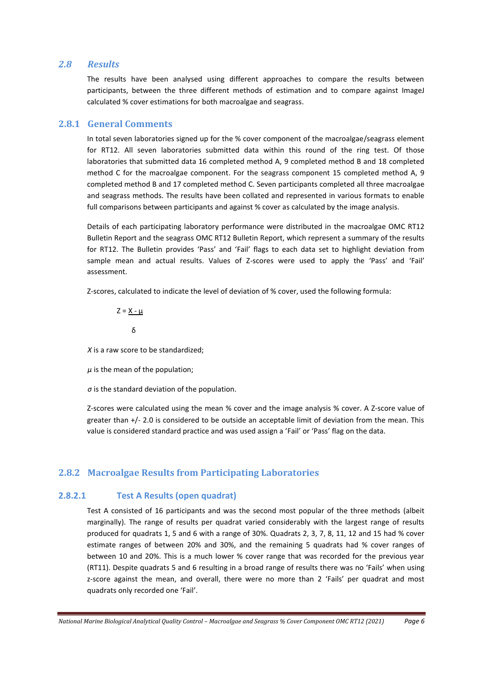#### <span id="page-6-0"></span>*2.8 Results*

The results have been analysed using different approaches to compare the results between participants, between the three different methods of estimation and to compare against ImageJ calculated % cover estimations for both macroalgae and seagrass.

#### <span id="page-6-1"></span>**2.8.1 General Comments**

In total seven laboratories signed up for the % cover component of the macroalgae/seagrass element for RT12. All seven laboratories submitted data within this round of the ring test. Of those laboratories that submitted data 16 completed method A, 9 completed method B and 18 completed method C for the macroalgae component. For the seagrass component 15 completed method A, 9 completed method B and 17 completed method C. Seven participants completed all three macroalgae and seagrass methods. The results have been collated and represented in various formats to enable full comparisons between participants and against % cover as calculated by the image analysis.

Details of each participating laboratory performance were distributed in the macroalgae OMC RT12 Bulletin Report and the seagrass OMC RT12 Bulletin Report, which represent a summary of the results for RT12. The Bulletin provides 'Pass' and 'Fail' flags to each data set to highlight deviation from sample mean and actual results. Values of Z-scores were used to apply the 'Pass' and 'Fail' assessment.

Z-scores, calculated to indicate the level of deviation of % cover, used the following formula:

 $Z = X - \mu$ δ

*X* is a raw score to be standardized;

 $\mu$  is the mean of the population;

*σ* is the standard deviation of the population.

Z-scores were calculated using the mean % cover and the image analysis % cover. A Z-score value of greater than +/- 2.0 is considered to be outside an acceptable limit of deviation from the mean. This value is considered standard practice and was used assign a 'Fail' or 'Pass' flag on the data.

### <span id="page-6-2"></span>**2.8.2 Macroalgae Results from Participating Laboratories**

### **2.8.2.1 Test A Results (open quadrat)**

Test A consisted of 16 participants and was the second most popular of the three methods (albeit marginally). The range of results per quadrat varied considerably with the largest range of results produced for quadrats 1, 5 and 6 with a range of 30%. Quadrats 2, 3, 7, 8, 11, 12 and 15 had % cover estimate ranges of between 20% and 30%, and the remaining 5 quadrats had % cover ranges of between 10 and 20%. This is a much lower % cover range that was recorded for the previous year (RT11). Despite quadrats 5 and 6 resulting in a broad range of results there was no 'Fails' when using z-score against the mean, and overall, there were no more than 2 'Fails' per quadrat and most quadrats only recorded one 'Fail'.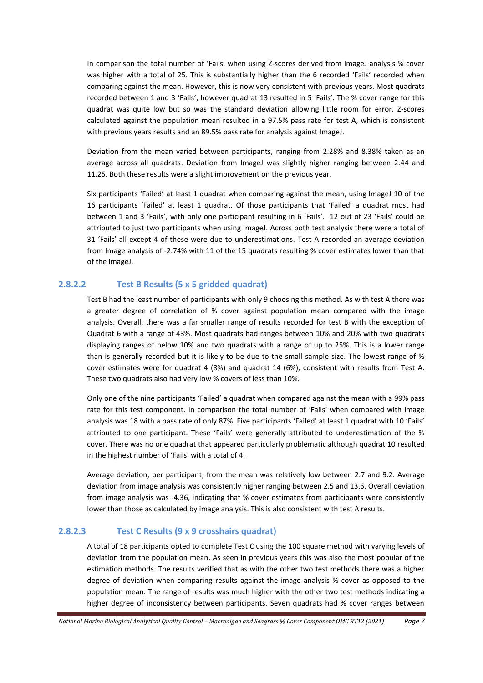In comparison the total number of 'Fails' when using Z-scores derived from ImageJ analysis % cover was higher with a total of 25. This is substantially higher than the 6 recorded 'Fails' recorded when comparing against the mean. However, this is now very consistent with previous years. Most quadrats recorded between 1 and 3 'Fails', however quadrat 13 resulted in 5 'Fails'. The % cover range for this quadrat was quite low but so was the standard deviation allowing little room for error. Z-scores calculated against the population mean resulted in a 97.5% pass rate for test A, which is consistent with previous years results and an 89.5% pass rate for analysis against ImageJ.

Deviation from the mean varied between participants, ranging from 2.28% and 8.38% taken as an average across all quadrats. Deviation from ImageJ was slightly higher ranging between 2.44 and 11.25. Both these results were a slight improvement on the previous year.

Six participants 'Failed' at least 1 quadrat when comparing against the mean, using ImageJ 10 of the 16 participants 'Failed' at least 1 quadrat. Of those participants that 'Failed' a quadrat most had between 1 and 3 'Fails', with only one participant resulting in 6 'Fails'. 12 out of 23 'Fails' could be attributed to just two participants when using ImageJ. Across both test analysis there were a total of 31 'Fails' all except 4 of these were due to underestimations. Test A recorded an average deviation from Image analysis of -2.74% with 11 of the 15 quadrats resulting % cover estimates lower than that of the ImageJ.

### **2.8.2.2 Test B Results (5 x 5 gridded quadrat)**

Test B had the least number of participants with only 9 choosing this method. As with test A there was a greater degree of correlation of % cover against population mean compared with the image analysis. Overall, there was a far smaller range of results recorded for test B with the exception of Quadrat 6 with a range of 43%. Most quadrats had ranges between 10% and 20% with two quadrats displaying ranges of below 10% and two quadrats with a range of up to 25%. This is a lower range than is generally recorded but it is likely to be due to the small sample size. The lowest range of % cover estimates were for quadrat 4 (8%) and quadrat 14 (6%), consistent with results from Test A. These two quadrats also had very low % covers of less than 10%.

Only one of the nine participants 'Failed' a quadrat when compared against the mean with a 99% pass rate for this test component. In comparison the total number of 'Fails' when compared with image analysis was 18 with a pass rate of only 87%. Five participants 'Failed' at least 1 quadrat with 10 'Fails' attributed to one participant. These 'Fails' were generally attributed to underestimation of the % cover. There was no one quadrat that appeared particularly problematic although quadrat 10 resulted in the highest number of 'Fails' with a total of 4.

Average deviation, per participant, from the mean was relatively low between 2.7 and 9.2. Average deviation from image analysis was consistently higher ranging between 2.5 and 13.6. Overall deviation from image analysis was -4.36, indicating that % cover estimates from participants were consistently lower than those as calculated by image analysis. This is also consistent with test A results.

#### **2.8.2.3 Test C Results (9 x 9 crosshairs quadrat)**

A total of 18 participants opted to complete Test C using the 100 square method with varying levels of deviation from the population mean. As seen in previous years this was also the most popular of the estimation methods. The results verified that as with the other two test methods there was a higher degree of deviation when comparing results against the image analysis % cover as opposed to the population mean. The range of results was much higher with the other two test methods indicating a higher degree of inconsistency between participants. Seven quadrats had % cover ranges between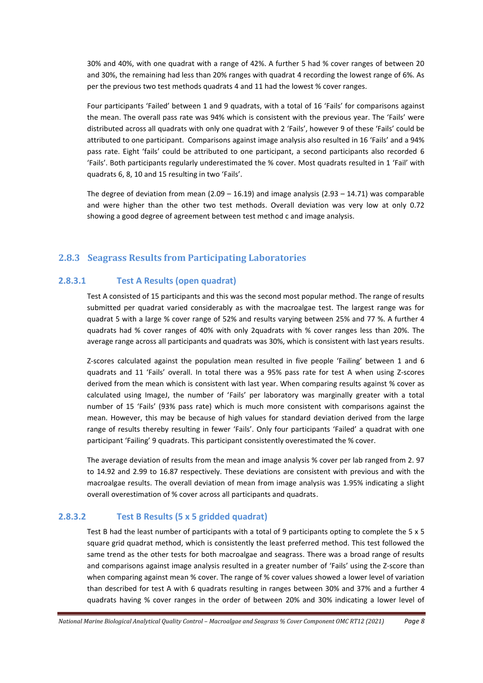30% and 40%, with one quadrat with a range of 42%. A further 5 had % cover ranges of between 20 and 30%, the remaining had less than 20% ranges with quadrat 4 recording the lowest range of 6%. As per the previous two test methods quadrats 4 and 11 had the lowest % cover ranges.

Four participants 'Failed' between 1 and 9 quadrats, with a total of 16 'Fails' for comparisons against the mean. The overall pass rate was 94% which is consistent with the previous year. The 'Fails' were distributed across all quadrats with only one quadrat with 2 'Fails', however 9 of these 'Fails' could be attributed to one participant. Comparisons against image analysis also resulted in 16 'Fails' and a 94% pass rate. Eight 'fails' could be attributed to one participant, a second participants also recorded 6 'Fails'. Both participants regularly underestimated the % cover. Most quadrats resulted in 1 'Fail' with quadrats 6, 8, 10 and 15 resulting in two 'Fails'.

The degree of deviation from mean  $(2.09 - 16.19)$  and image analysis  $(2.93 - 14.71)$  was comparable and were higher than the other two test methods. Overall deviation was very low at only 0.72 showing a good degree of agreement between test method c and image analysis.

### <span id="page-8-0"></span>**2.8.3 Seagrass Results from Participating Laboratories**

### **2.8.3.1 Test A Results (open quadrat)**

Test A consisted of 15 participants and this was the second most popular method. The range of results submitted per quadrat varied considerably as with the macroalgae test. The largest range was for quadrat 5 with a large % cover range of 52% and results varying between 25% and 77 %. A further 4 quadrats had % cover ranges of 40% with only 2quadrats with % cover ranges less than 20%. The average range across all participants and quadrats was 30%, which is consistent with last years results.

Z-scores calculated against the population mean resulted in five people 'Failing' between 1 and 6 quadrats and 11 'Fails' overall. In total there was a 95% pass rate for test A when using Z-scores derived from the mean which is consistent with last year. When comparing results against % cover as calculated using ImageJ, the number of 'Fails' per laboratory was marginally greater with a total number of 15 'Fails' (93% pass rate) which is much more consistent with comparisons against the mean. However, this may be because of high values for standard deviation derived from the large range of results thereby resulting in fewer 'Fails'. Only four participants 'Failed' a quadrat with one participant 'Failing' 9 quadrats. This participant consistently overestimated the % cover.

The average deviation of results from the mean and image analysis % cover per lab ranged from 2. 97 to 14.92 and 2.99 to 16.87 respectively. These deviations are consistent with previous and with the macroalgae results. The overall deviation of mean from image analysis was 1.95% indicating a slight overall overestimation of % cover across all participants and quadrats.

### **2.8.3.2 Test B Results (5 x 5 gridded quadrat)**

Test B had the least number of participants with a total of 9 participants opting to complete the 5 x 5 square grid quadrat method, which is consistently the least preferred method. This test followed the same trend as the other tests for both macroalgae and seagrass. There was a broad range of results and comparisons against image analysis resulted in a greater number of 'Fails' using the Z-score than when comparing against mean % cover. The range of % cover values showed a lower level of variation than described for test A with 6 quadrats resulting in ranges between 30% and 37% and a further 4 quadrats having % cover ranges in the order of between 20% and 30% indicating a lower level of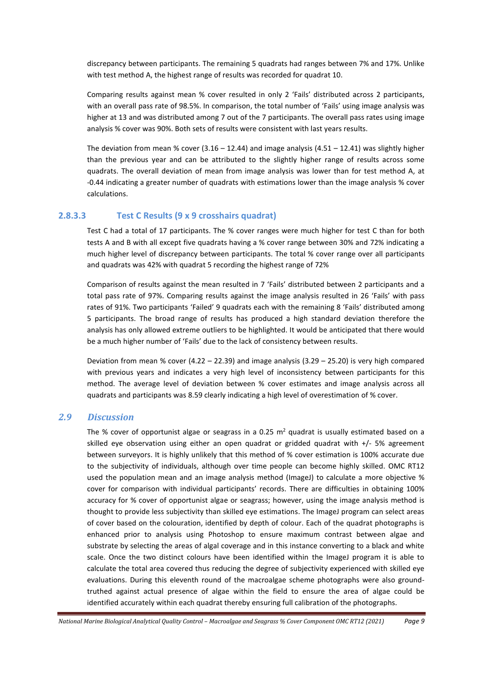discrepancy between participants. The remaining 5 quadrats had ranges between 7% and 17%. Unlike with test method A, the highest range of results was recorded for quadrat 10.

Comparing results against mean % cover resulted in only 2 'Fails' distributed across 2 participants, with an overall pass rate of 98.5%. In comparison, the total number of 'Fails' using image analysis was higher at 13 and was distributed among 7 out of the 7 participants. The overall pass rates using image analysis % cover was 90%. Both sets of results were consistent with last years results.

The deviation from mean % cover  $(3.16 - 12.44)$  and image analysis  $(4.51 - 12.41)$  was slightly higher than the previous year and can be attributed to the slightly higher range of results across some quadrats. The overall deviation of mean from image analysis was lower than for test method A, at -0.44 indicating a greater number of quadrats with estimations lower than the image analysis % cover calculations.

### **2.8.3.3 Test C Results (9 x 9 crosshairs quadrat)**

Test C had a total of 17 participants. The % cover ranges were much higher for test C than for both tests A and B with all except five quadrats having a % cover range between 30% and 72% indicating a much higher level of discrepancy between participants. The total % cover range over all participants and quadrats was 42% with quadrat 5 recording the highest range of 72%

Comparison of results against the mean resulted in 7 'Fails' distributed between 2 participants and a total pass rate of 97%. Comparing results against the image analysis resulted in 26 'Fails' with pass rates of 91%. Two participants 'Failed' 9 quadrats each with the remaining 8 'Fails' distributed among 5 participants. The broad range of results has produced a high standard deviation therefore the analysis has only allowed extreme outliers to be highlighted. It would be anticipated that there would be a much higher number of 'Fails' due to the lack of consistency between results.

Deviation from mean % cover  $(4.22 - 22.39)$  and image analysis  $(3.29 - 25.20)$  is very high compared with previous years and indicates a very high level of inconsistency between participants for this method. The average level of deviation between % cover estimates and image analysis across all quadrats and participants was 8.59 clearly indicating a high level of overestimation of % cover.

### <span id="page-9-0"></span>*2.9 Discussion*

The % cover of opportunist algae or seagrass in a 0.25  $m^2$  quadrat is usually estimated based on a skilled eye observation using either an open quadrat or gridded quadrat with  $+/$ - 5% agreement between surveyors. It is highly unlikely that this method of % cover estimation is 100% accurate due to the subjectivity of individuals, although over time people can become highly skilled. OMC RT12 used the population mean and an image analysis method (ImageJ) to calculate a more objective % cover for comparison with individual participants' records. There are difficulties in obtaining 100% accuracy for % cover of opportunist algae or seagrass; however, using the image analysis method is thought to provide less subjectivity than skilled eye estimations. The ImageJ program can select areas of cover based on the colouration, identified by depth of colour. Each of the quadrat photographs is enhanced prior to analysis using Photoshop to ensure maximum contrast between algae and substrate by selecting the areas of algal coverage and in this instance converting to a black and white scale. Once the two distinct colours have been identified within the ImageJ program it is able to calculate the total area covered thus reducing the degree of subjectivity experienced with skilled eye evaluations. During this eleventh round of the macroalgae scheme photographs were also groundtruthed against actual presence of algae within the field to ensure the area of algae could be identified accurately within each quadrat thereby ensuring full calibration of the photographs.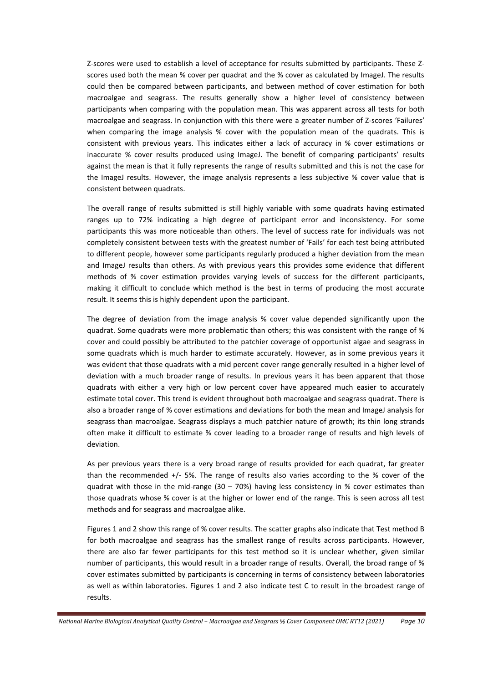Z-scores were used to establish a level of acceptance for results submitted by participants. These Zscores used both the mean % cover per quadrat and the % cover as calculated by ImageJ. The results could then be compared between participants, and between method of cover estimation for both macroalgae and seagrass. The results generally show a higher level of consistency between participants when comparing with the population mean. This was apparent across all tests for both macroalgae and seagrass. In conjunction with this there were a greater number of Z-scores 'Failures' when comparing the image analysis % cover with the population mean of the quadrats. This is consistent with previous years. This indicates either a lack of accuracy in % cover estimations or inaccurate % cover results produced using ImageJ. The benefit of comparing participants' results against the mean is that it fully represents the range of results submitted and this is not the case for the ImageJ results. However, the image analysis represents a less subjective % cover value that is consistent between quadrats.

The overall range of results submitted is still highly variable with some quadrats having estimated ranges up to 72% indicating a high degree of participant error and inconsistency. For some participants this was more noticeable than others. The level of success rate for individuals was not completely consistent between tests with the greatest number of 'Fails' for each test being attributed to different people, however some participants regularly produced a higher deviation from the mean and ImageJ results than others. As with previous years this provides some evidence that different methods of % cover estimation provides varying levels of success for the different participants, making it difficult to conclude which method is the best in terms of producing the most accurate result. It seems this is highly dependent upon the participant.

The degree of deviation from the image analysis % cover value depended significantly upon the quadrat. Some quadrats were more problematic than others; this was consistent with the range of % cover and could possibly be attributed to the patchier coverage of opportunist algae and seagrass in some quadrats which is much harder to estimate accurately. However, as in some previous years it was evident that those quadrats with a mid percent cover range generally resulted in a higher level of deviation with a much broader range of results. In previous years it has been apparent that those quadrats with either a very high or low percent cover have appeared much easier to accurately estimate total cover. This trend is evident throughout both macroalgae and seagrass quadrat. There is also a broader range of % cover estimations and deviations for both the mean and ImageJ analysis for seagrass than macroalgae. Seagrass displays a much patchier nature of growth; its thin long strands often make it difficult to estimate % cover leading to a broader range of results and high levels of deviation.

As per previous years there is a very broad range of results provided for each quadrat, far greater than the recommended  $+/-$  5%. The range of results also varies according to the % cover of the quadrat with those in the mid-range (30 – 70%) having less consistency in % cover estimates than those quadrats whose % cover is at the higher or lower end of the range. This is seen across all test methods and for seagrass and macroalgae alike.

Figures 1 and 2 show this range of % cover results. The scatter graphs also indicate that Test method B for both macroalgae and seagrass has the smallest range of results across participants. However, there are also far fewer participants for this test method so it is unclear whether, given similar number of participants, this would result in a broader range of results. Overall, the broad range of % cover estimates submitted by participants is concerning in terms of consistency between laboratories as well as within laboratories. Figures 1 and 2 also indicate test C to result in the broadest range of results.

*National Marine Biological Analytical Quality Control – Macroalgae and Seagrass % Cover Component OMC RT12 (2021) Page 10*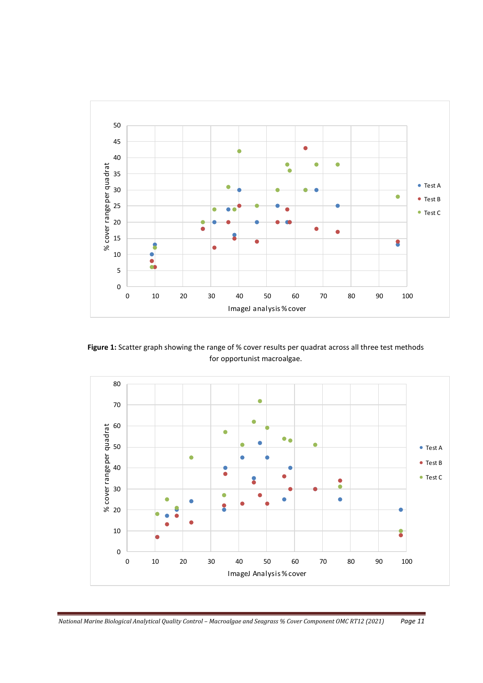

**Figure 1:** Scatter graph showing the range of % cover results per quadrat across all three test methods for opportunist macroalgae.



*National Marine Biological Analytical Quality Control - Macroalgae and Seagrass % Cover Component OMC RT12 (2021) Page 11*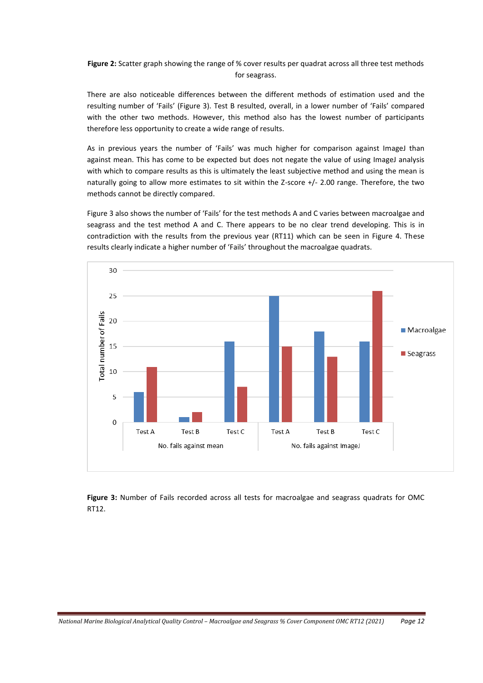**Figure 2:** Scatter graph showing the range of % cover results per quadrat across all three test methods for seagrass.

There are also noticeable differences between the different methods of estimation used and the resulting number of 'Fails' (Figure 3). Test B resulted, overall, in a lower number of 'Fails' compared with the other two methods. However, this method also has the lowest number of participants therefore less opportunity to create a wide range of results.

As in previous years the number of 'Fails' was much higher for comparison against ImageJ than against mean. This has come to be expected but does not negate the value of using ImageJ analysis with which to compare results as this is ultimately the least subjective method and using the mean is naturally going to allow more estimates to sit within the Z-score +/- 2.00 range. Therefore, the two methods cannot be directly compared.

Figure 3 also shows the number of 'Fails' for the test methods A and C varies between macroalgae and seagrass and the test method A and C. There appears to be no clear trend developing. This is in contradiction with the results from the previous year (RT11) which can be seen in Figure 4. These results clearly indicate a higher number of 'Fails' throughout the macroalgae quadrats.



**Figure 3:** Number of Fails recorded across all tests for macroalgae and seagrass quadrats for OMC RT12.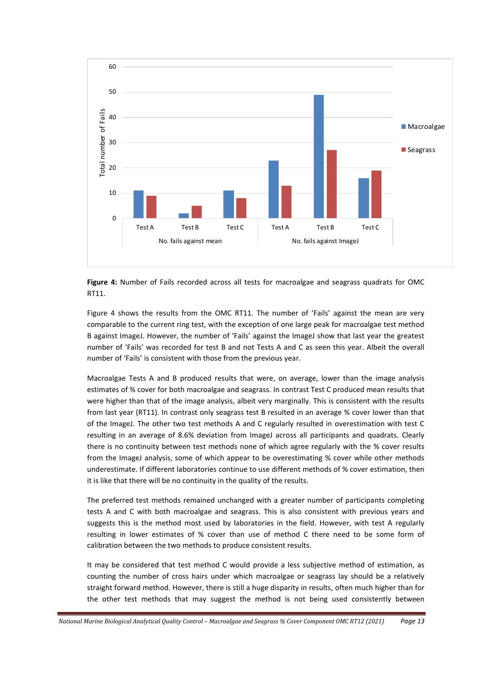



Figure 4 shows the results from the OMC RT11. The number of 'Fails' against the mean are very comparable to the current ring test, with the exception of one large peak for macroalgae test method B against ImageJ. However, the number of 'Fails' against the ImageJ show that last year the greatest number of 'Fails' was recorded for test B and not Tests A and C as seen this year. Albeit the overall number of 'Fails' is consistent with those from the previous year.

Macroalgae Tests A and B produced results that were, on average, lower than the image analysis estimates of % cover for both macroalgae and seagrass. In contrast Test C produced mean results that were higher than that of the image analysis, albeit very marginally. This is consistent with the results from last year (RT11). In contrast only seagrass test B resulted in an average % cover lower than that of the ImageJ. The other two test methods A and C regularly resulted in overestimation with test C resulting in an average of 8.6% deviation from ImageJ across all participants and quadrats. Clearly there is no continuity between test methods none of which agree regularly with the % cover results from the ImageJ analysis, some of which appear to be overestimating % cover while other methods underestimate. If different laboratories continue to use different methods of % cover estimation, then it is like that there will be no continuity in the quality of the results.

The preferred test methods remained unchanged with a greater number of participants completing tests A and C with both macroalgae and seagrass. This is also consistent with previous years and suggests this is the method most used by laboratories in the field. However, with test A regularly resulting in lower estimates of % cover than use of method C there need to be some form of calibration between the two methods to produce consistent results.

It may be considered that test method C would provide a less subjective method of estimation, as counting the number of cross hairs under which macroalgae or seagrass lay should be a relatively straight forward method. However, there is still a huge disparity in results, often much higher than for the other test methods that may suggest the method is not being used consistently between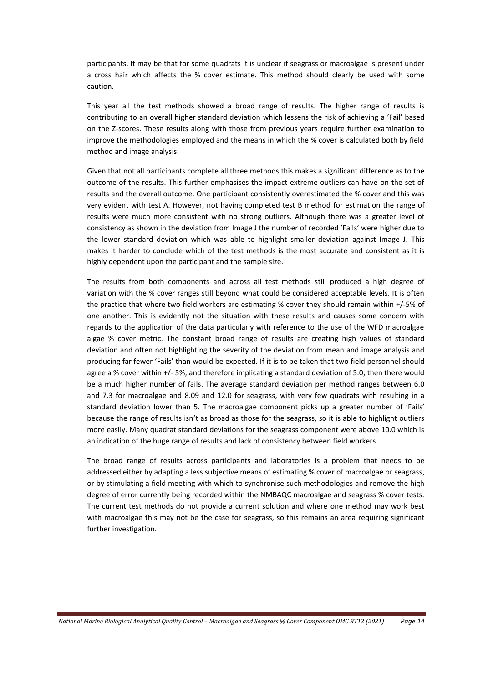participants. It may be that for some quadrats it is unclear if seagrass or macroalgae is present under a cross hair which affects the % cover estimate. This method should clearly be used with some caution.

This year all the test methods showed a broad range of results. The higher range of results is contributing to an overall higher standard deviation which lessens the risk of achieving a 'Fail' based on the Z-scores. These results along with those from previous years require further examination to improve the methodologies employed and the means in which the % cover is calculated both by field method and image analysis.

Given that not all participants complete all three methods this makes a significant difference as to the outcome of the results. This further emphasises the impact extreme outliers can have on the set of results and the overall outcome. One participant consistently overestimated the % cover and this was very evident with test A. However, not having completed test B method for estimation the range of results were much more consistent with no strong outliers. Although there was a greater level of consistency as shown in the deviation from Image J the number of recorded 'Fails' were higher due to the lower standard deviation which was able to highlight smaller deviation against Image J. This makes it harder to conclude which of the test methods is the most accurate and consistent as it is highly dependent upon the participant and the sample size.

The results from both components and across all test methods still produced a high degree of variation with the % cover ranges still beyond what could be considered acceptable levels. It is often the practice that where two field workers are estimating % cover they should remain within +/-5% of one another. This is evidently not the situation with these results and causes some concern with regards to the application of the data particularly with reference to the use of the WFD macroalgae algae % cover metric. The constant broad range of results are creating high values of standard deviation and often not highlighting the severity of the deviation from mean and image analysis and producing far fewer 'Fails' than would be expected. If it is to be taken that two field personnel should agree a % cover within +/- 5%, and therefore implicating a standard deviation of 5.0, then there would be a much higher number of fails. The average standard deviation per method ranges between 6.0 and 7.3 for macroalgae and 8.09 and 12.0 for seagrass, with very few quadrats with resulting in a standard deviation lower than 5. The macroalgae component picks up a greater number of 'Fails' because the range of results isn't as broad as those for the seagrass, so it is able to highlight outliers more easily. Many quadrat standard deviations for the seagrass component were above 10.0 which is an indication of the huge range of results and lack of consistency between field workers.

The broad range of results across participants and laboratories is a problem that needs to be addressed either by adapting a less subjective means of estimating % cover of macroalgae or seagrass, or by stimulating a field meeting with which to synchronise such methodologies and remove the high degree of error currently being recorded within the NMBAQC macroalgae and seagrass % cover tests. The current test methods do not provide a current solution and where one method may work best with macroalgae this may not be the case for seagrass, so this remains an area requiring significant further investigation.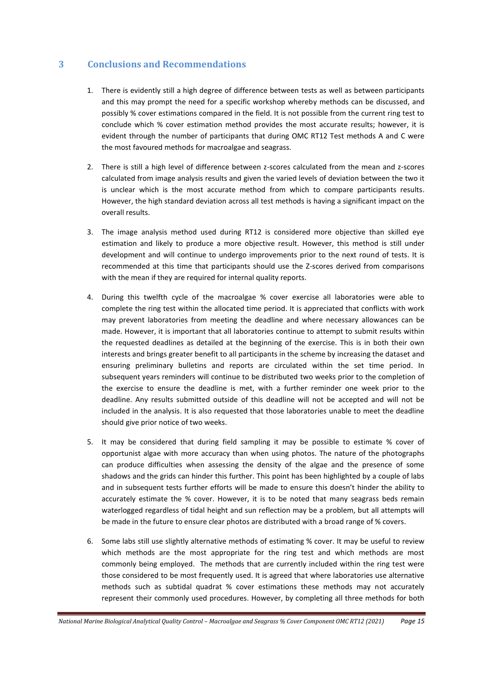# <span id="page-15-0"></span>**3 Conclusions and Recommendations**

- 1. There is evidently still a high degree of difference between tests as well as between participants and this may prompt the need for a specific workshop whereby methods can be discussed, and possibly % cover estimations compared in the field. It is not possible from the current ring test to conclude which % cover estimation method provides the most accurate results; however, it is evident through the number of participants that during OMC RT12 Test methods A and C were the most favoured methods for macroalgae and seagrass.
- 2. There is still a high level of difference between z-scores calculated from the mean and z-scores calculated from image analysis results and given the varied levels of deviation between the two it is unclear which is the most accurate method from which to compare participants results. However, the high standard deviation across all test methods is having a significant impact on the overall results.
- 3. The image analysis method used during RT12 is considered more objective than skilled eye estimation and likely to produce a more objective result. However, this method is still under development and will continue to undergo improvements prior to the next round of tests. It is recommended at this time that participants should use the Z-scores derived from comparisons with the mean if they are required for internal quality reports.
- 4. During this twelfth cycle of the macroalgae % cover exercise all laboratories were able to complete the ring test within the allocated time period. It is appreciated that conflicts with work may prevent laboratories from meeting the deadline and where necessary allowances can be made. However, it is important that all laboratories continue to attempt to submit results within the requested deadlines as detailed at the beginning of the exercise. This is in both their own interests and brings greater benefit to all participants in the scheme by increasing the dataset and ensuring preliminary bulletins and reports are circulated within the set time period. In subsequent years reminders will continue to be distributed two weeks prior to the completion of the exercise to ensure the deadline is met, with a further reminder one week prior to the deadline. Any results submitted outside of this deadline will not be accepted and will not be included in the analysis. It is also requested that those laboratories unable to meet the deadline should give prior notice of two weeks.
- 5. It may be considered that during field sampling it may be possible to estimate % cover of opportunist algae with more accuracy than when using photos. The nature of the photographs can produce difficulties when assessing the density of the algae and the presence of some shadows and the grids can hinder this further. This point has been highlighted by a couple of labs and in subsequent tests further efforts will be made to ensure this doesn't hinder the ability to accurately estimate the % cover. However, it is to be noted that many seagrass beds remain waterlogged regardless of tidal height and sun reflection may be a problem, but all attempts will be made in the future to ensure clear photos are distributed with a broad range of % covers.
- 6. Some labs still use slightly alternative methods of estimating % cover. It may be useful to review which methods are the most appropriate for the ring test and which methods are most commonly being employed. The methods that are currently included within the ring test were those considered to be most frequently used. It is agreed that where laboratories use alternative methods such as subtidal quadrat % cover estimations these methods may not accurately represent their commonly used procedures. However, by completing all three methods for both